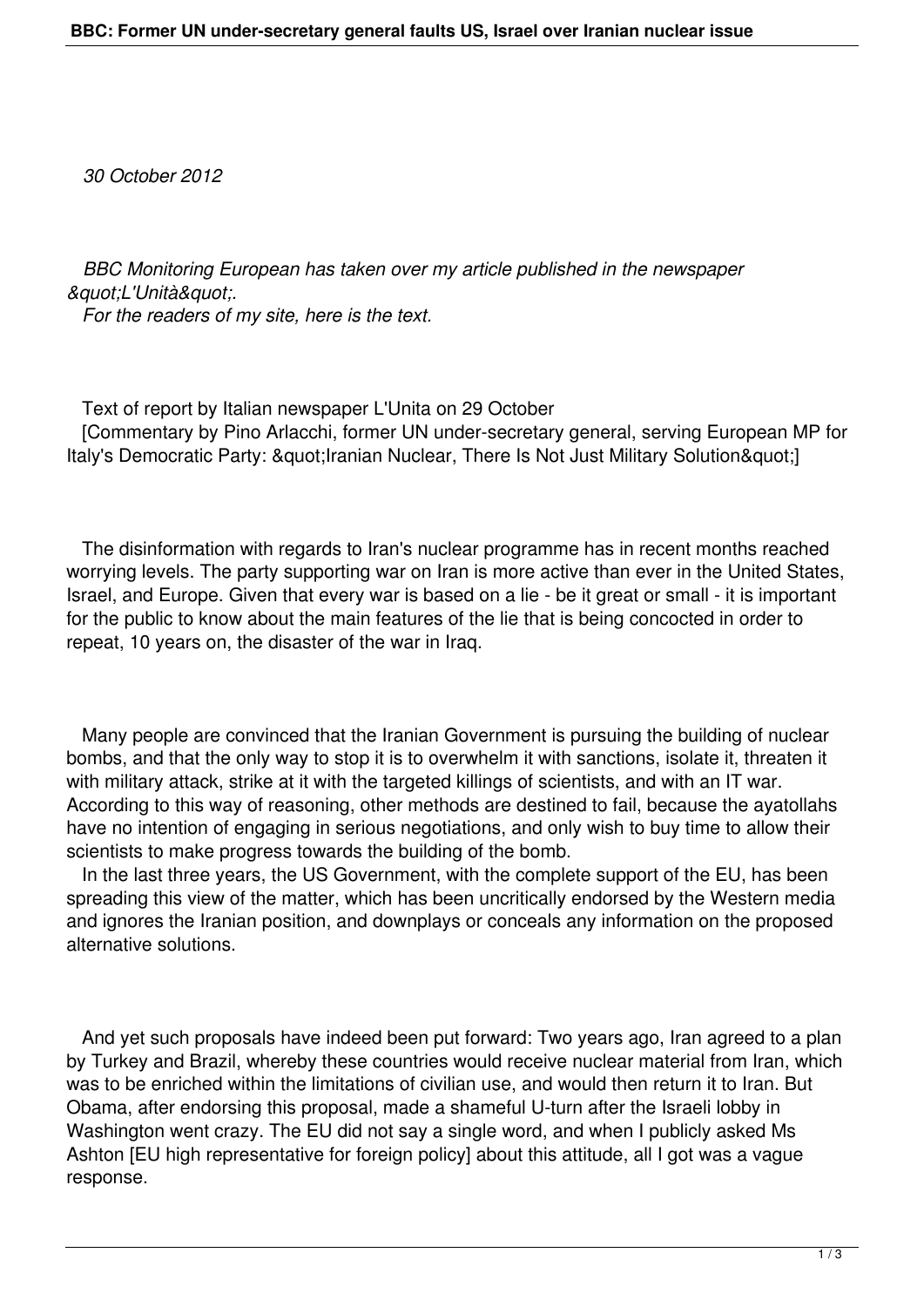*30 October 2012*

 *BBC Monitoring European has taken over my article published in the newspaper*  $\&$ quot;L'Unità".  *For the readers of my site, here is the text.*

 Text of report by Italian newspaper L'Unita on 29 October [Commentary by Pino Arlacchi, former UN under-secretary general, serving European MP for Italy's Democratic Party: & quot; Iranian Nuclear, There Is Not Just Military Solution & quot; 1

 The disinformation with regards to Iran's nuclear programme has in recent months reached worrying levels. The party supporting war on Iran is more active than ever in the United States, Israel, and Europe. Given that every war is based on a lie - be it great or small - it is important for the public to know about the main features of the lie that is being concocted in order to repeat, 10 years on, the disaster of the war in Iraq.

 Many people are convinced that the Iranian Government is pursuing the building of nuclear bombs, and that the only way to stop it is to overwhelm it with sanctions, isolate it, threaten it with military attack, strike at it with the targeted killings of scientists, and with an IT war. According to this way of reasoning, other methods are destined to fail, because the ayatollahs have no intention of engaging in serious negotiations, and only wish to buy time to allow their scientists to make progress towards the building of the bomb.

 In the last three years, the US Government, with the complete support of the EU, has been spreading this view of the matter, which has been uncritically endorsed by the Western media and ignores the Iranian position, and downplays or conceals any information on the proposed alternative solutions.

 And yet such proposals have indeed been put forward: Two years ago, Iran agreed to a plan by Turkey and Brazil, whereby these countries would receive nuclear material from Iran, which was to be enriched within the limitations of civilian use, and would then return it to Iran. But Obama, after endorsing this proposal, made a shameful U-turn after the Israeli lobby in Washington went crazy. The EU did not say a single word, and when I publicly asked Ms Ashton [EU high representative for foreign policy] about this attitude, all I got was a vague response.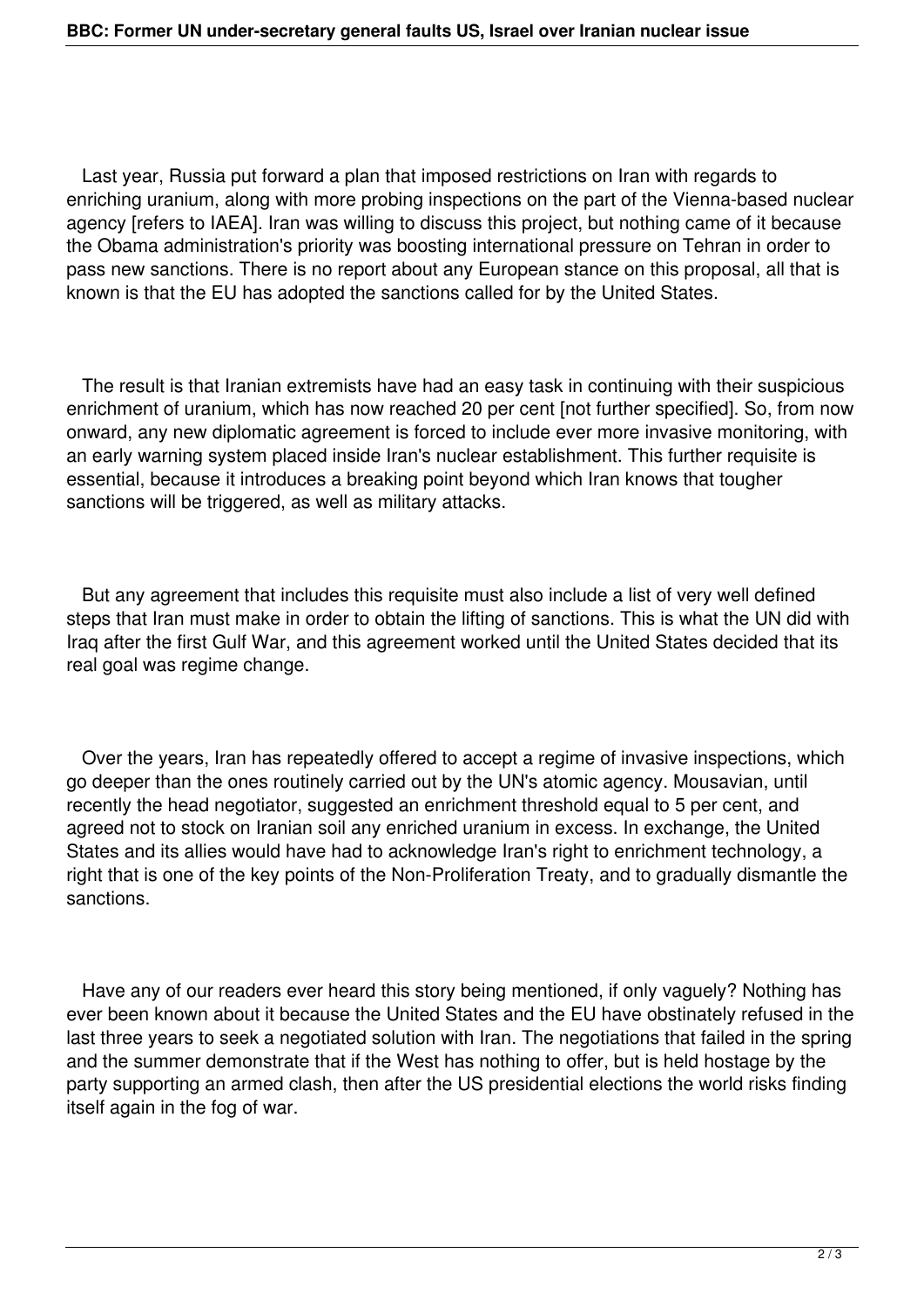Last year, Russia put forward a plan that imposed restrictions on Iran with regards to enriching uranium, along with more probing inspections on the part of the Vienna-based nuclear agency [refers to IAEA]. Iran was willing to discuss this project, but nothing came of it because the Obama administration's priority was boosting international pressure on Tehran in order to pass new sanctions. There is no report about any European stance on this proposal, all that is known is that the EU has adopted the sanctions called for by the United States.

 The result is that Iranian extremists have had an easy task in continuing with their suspicious enrichment of uranium, which has now reached 20 per cent [not further specified]. So, from now onward, any new diplomatic agreement is forced to include ever more invasive monitoring, with an early warning system placed inside Iran's nuclear establishment. This further requisite is essential, because it introduces a breaking point beyond which Iran knows that tougher sanctions will be triggered, as well as military attacks.

 But any agreement that includes this requisite must also include a list of very well defined steps that Iran must make in order to obtain the lifting of sanctions. This is what the UN did with Iraq after the first Gulf War, and this agreement worked until the United States decided that its real goal was regime change.

 Over the years, Iran has repeatedly offered to accept a regime of invasive inspections, which go deeper than the ones routinely carried out by the UN's atomic agency. Mousavian, until recently the head negotiator, suggested an enrichment threshold equal to 5 per cent, and agreed not to stock on Iranian soil any enriched uranium in excess. In exchange, the United States and its allies would have had to acknowledge Iran's right to enrichment technology, a right that is one of the key points of the Non-Proliferation Treaty, and to gradually dismantle the sanctions.

 Have any of our readers ever heard this story being mentioned, if only vaguely? Nothing has ever been known about it because the United States and the EU have obstinately refused in the last three years to seek a negotiated solution with Iran. The negotiations that failed in the spring and the summer demonstrate that if the West has nothing to offer, but is held hostage by the party supporting an armed clash, then after the US presidential elections the world risks finding itself again in the fog of war.